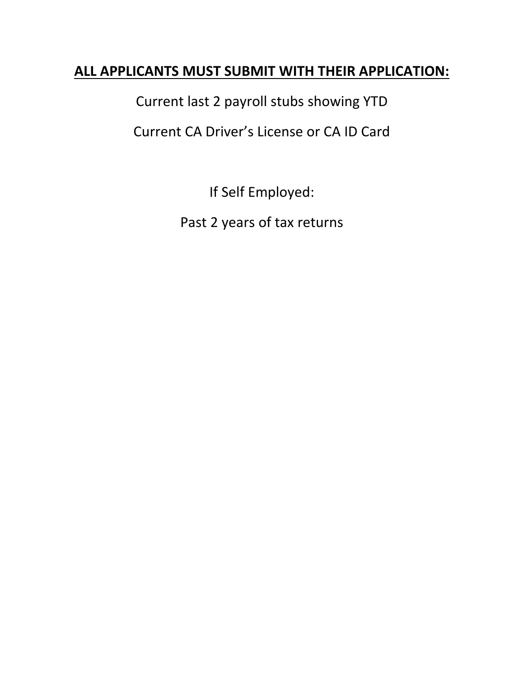## **ALL APPLICANTS MUST SUBMIT WITH THEIR APPLICATION:**

Current last 2 payroll stubs showing YTD

Current CA Driver's License or CA ID Card

If Self Employed:

Past 2 years of tax returns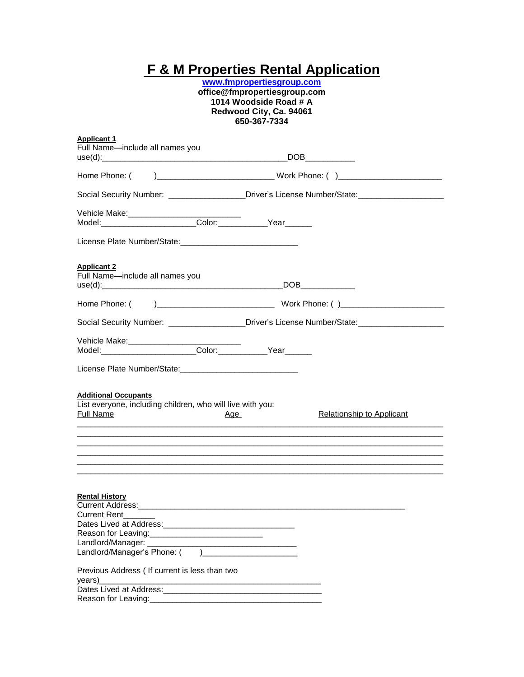## **F & M Properties Rental Application**

**[www.fmpropertiesgroup.com](http://www.fmpropertiesgroup.com/) office@fmpropertiesgroup.com 1014 Woodside Road # A Redwood City, Ca. 94061 650-367-7334**

| <b>Applicant 1</b>                                                                                                  |                                                                                                     |
|---------------------------------------------------------------------------------------------------------------------|-----------------------------------------------------------------------------------------------------|
| Full Name-include all names you                                                                                     | DOB                                                                                                 |
|                                                                                                                     |                                                                                                     |
| Home Phone: (                                                                                                       |                                                                                                     |
|                                                                                                                     | Social Security Number: __________________Driver's License Number/State:________________            |
| Vehicle Make:__________________Color:__________Year______<br>Model:_____________________Color:_________Year______   |                                                                                                     |
|                                                                                                                     |                                                                                                     |
|                                                                                                                     |                                                                                                     |
| <b>Applicant 2</b>                                                                                                  |                                                                                                     |
| Full Name-include all names you                                                                                     |                                                                                                     |
|                                                                                                                     |                                                                                                     |
|                                                                                                                     |                                                                                                     |
|                                                                                                                     | Social Security Number: ___________________Driver's License Number/State:__________________________ |
|                                                                                                                     |                                                                                                     |
| Vehicle Make:___________________Color:__________Year_______<br>Model:_____________________Color:_________Year______ |                                                                                                     |
|                                                                                                                     |                                                                                                     |
| <b>Additional Occupants</b>                                                                                         |                                                                                                     |
| List everyone, including children, who will live with you:<br><b>Full Name</b><br><u>Age</u>                        | <b>Relationship to Applicant</b>                                                                    |
|                                                                                                                     |                                                                                                     |
|                                                                                                                     |                                                                                                     |
|                                                                                                                     |                                                                                                     |
| <b>Rental History</b>                                                                                               |                                                                                                     |
|                                                                                                                     |                                                                                                     |
| <b>Current Rent</b>                                                                                                 |                                                                                                     |
|                                                                                                                     |                                                                                                     |
|                                                                                                                     |                                                                                                     |
| Landlord/Manager's Phone: () __________________________                                                             |                                                                                                     |
|                                                                                                                     |                                                                                                     |
| Previous Address ( If current is less than two<br>years)                                                            |                                                                                                     |
|                                                                                                                     |                                                                                                     |
|                                                                                                                     |                                                                                                     |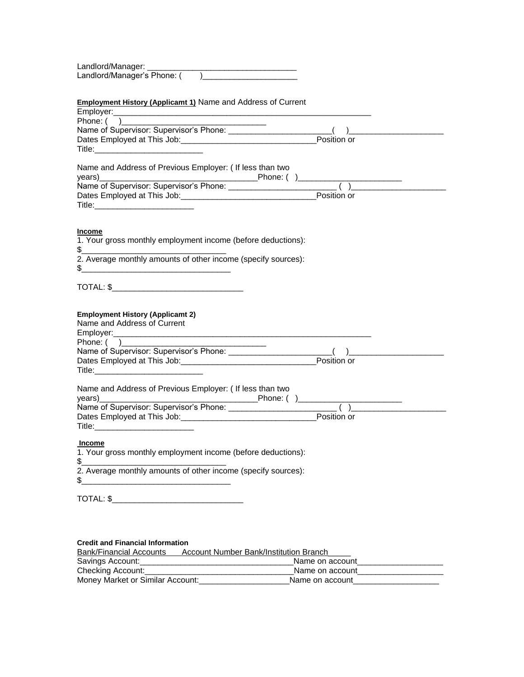| Landlord/Manager:           |  |
|-----------------------------|--|
| Landlord/Manager's Phone: ( |  |

## **Employment History (Applicamt 1)** Name and Address of Current

| Employer:                                                                        |             |  |
|----------------------------------------------------------------------------------|-------------|--|
| Phone: (                                                                         |             |  |
| Name of Supervisor: Supervisor's Phone: ______________________                   |             |  |
|                                                                                  | Position or |  |
|                                                                                  |             |  |
|                                                                                  |             |  |
| Name and Address of Previous Employer: ( If less than two                        |             |  |
|                                                                                  |             |  |
|                                                                                  |             |  |
|                                                                                  |             |  |
|                                                                                  |             |  |
|                                                                                  |             |  |
|                                                                                  |             |  |
| <b>Income</b>                                                                    |             |  |
| 1. Your gross monthly employment income (before deductions):                     |             |  |
| 2. Average monthly amounts of other income (specify sources):                    |             |  |
| \$<br><u> 1980 - Johann Barn, mars an deus an deus Amerikaansk kommunister (</u> |             |  |
|                                                                                  |             |  |
|                                                                                  |             |  |
|                                                                                  |             |  |
| <b>Employment History (Applicamt 2)</b>                                          |             |  |
| Name and Address of Current                                                      |             |  |
|                                                                                  |             |  |
|                                                                                  |             |  |
|                                                                                  |             |  |
|                                                                                  |             |  |
|                                                                                  |             |  |
|                                                                                  |             |  |
| Name and Address of Previous Employer: ( If less than two                        |             |  |
| years)                                                                           |             |  |
|                                                                                  |             |  |
|                                                                                  | Position or |  |
|                                                                                  |             |  |
|                                                                                  |             |  |
| <b>Income</b>                                                                    |             |  |
| 1. Your gross monthly employment income (before deductions):                     |             |  |
|                                                                                  |             |  |
| $\frac{1}{2}$<br>2. Average monthly amounts of other income (specify sources):   |             |  |
|                                                                                  |             |  |
| \$                                                                               |             |  |
|                                                                                  |             |  |
|                                                                                  |             |  |
|                                                                                  |             |  |
|                                                                                  |             |  |
|                                                                                  |             |  |
|                                                                                  |             |  |

## **Credit and Financial Information**

| <b>Bank/Financial Accounts</b>   | Account Number Bank/Institution Branch |
|----------------------------------|----------------------------------------|
| Savings Account:                 | Name on account                        |
| Checking Account:                | Name on account                        |
| Money Market or Similar Account: | Name on account                        |